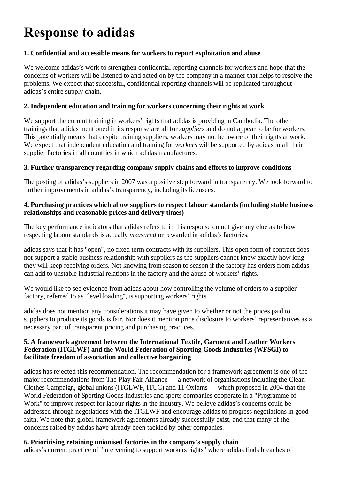# **Response to adidas**

#### **1. Confidential and accessible means for workers to report exploitation and abuse**

We welcome adidas's work to strengthen confidential reporting channels for workers and hope that the concerns of workers will be listened to and acted on by the company in a manner that helps to resolve the problems. We expect that successful, confidential reporting channels will be replicated throughout adidas's entire supply chain.

# **2. Independent education and training for workers concerning their rights at work**

We support the current training in workers' rights that adidas is providing in Cambodia. The other trainings that adidas mentioned in its response are all for *suppliers* and do not appear to be for workers. This potentially means that despite training suppliers, workers may not be aware of their rights at work. We expect that independent education and training for *workers* will be supported by adidas in all their supplier factories in all countries in which adidas manufactures.

# **3. Further transparency regarding company supply chains and efforts to improve conditions**

The posting of adidas's suppliers in 2007 was a positive step forward in transparency. We look forward to further improvements in adidas's transparency, including its licensees.

#### **4. Purchasing practices which allow suppliers to respect labour standards (including stable business relationships and reasonable prices and delivery times)**

The key performance indicators that adidas refers to in this response do not give any clue as to how respecting labour standards is actually *measured* or rewarded in adidas's factories.

adidas says that it has "open", no fixed term contracts with its suppliers. This open form of contract does not support a stable business relationship with suppliers as the suppliers cannot know exactly how long they will keep receiving orders. Not knowing from season to season if the factory has orders from adidas can add to unstable industrial relations in the factory and the abuse of workers' rights.

We would like to see evidence from adidas about how controlling the volume of orders to a supplier factory, referred to as "level loading", is supporting workers' rights.

adidas does not mention any considerations it may have given to whether or not the prices paid to suppliers to produce its goods is fair. Nor does it mention price disclosure to workers' representatives as a necessary part of transparent pricing and purchasing practices.

#### **5. A framework agreement between the International Textile, Garment and Leather Workers Federation (ITGLWF) and the World Federation of Sporting Goods Industries (WFSGI) to facilitate freedom of association and collective bargaining**

adidas has rejected this recommendation. The recommendation for a framework agreement is one of the major recommendations from The Play Fair Alliance — a network of organisations including the Clean Clothes Campaign, global unions (ITGLWF, ITUC) and 11 Oxfams — which proposed in 2004 that the World Federation of Sporting Goods Industries and sports companies cooperate in a "Programme of Work" to improve respect for labour rights in the industry. We believe adidas's concerns could be addressed through negotiations with the ITGLWF and encourage adidas to progress negotiations in good faith. We note that global framework agreements already successfully exist, and that many of the concerns raised by adidas have already been tackled by other companies.

# **6. Prioritising retaining unionised factories in the company's supply chain**

adidas's current practice of "intervening to support workers rights" where adidas finds breaches of